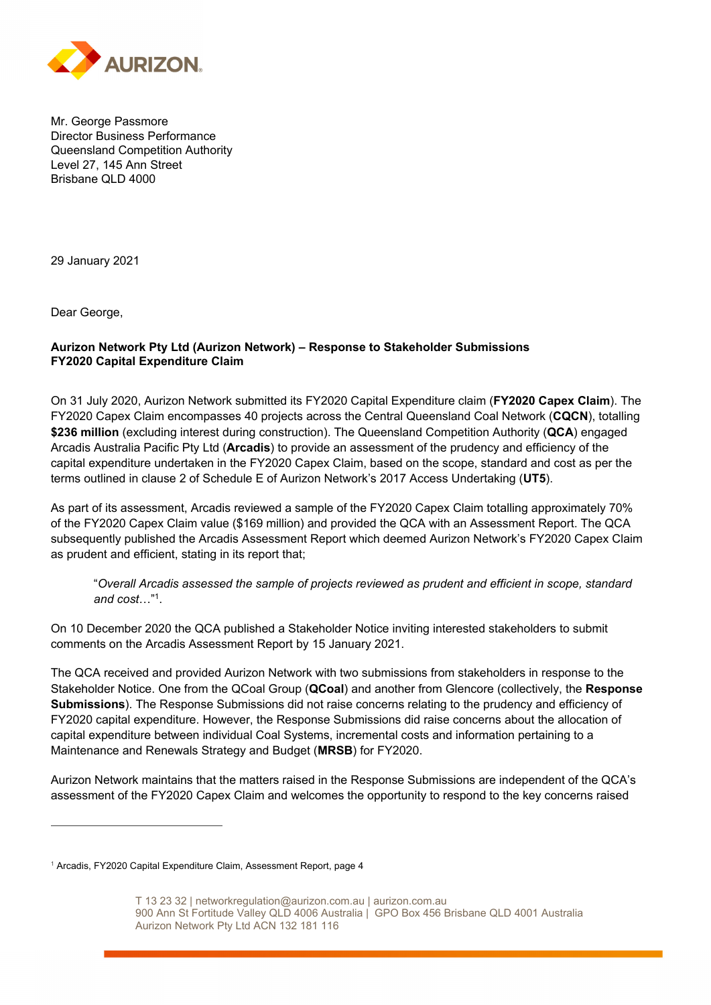

Mr. George Passmore Director Business Performance Queensland Competition Authority Level 27, 145 Ann Street Brisbane QLD 4000

29 January 2021

Dear George,

#### **Aurizon Network Pty Ltd (Aurizon Network) – Response to Stakeholder Submissions FY2020 Capital Expenditure Claim**

On 31 July 2020, Aurizon Network submitted its FY2020 Capital Expenditure claim (**FY2020 Capex Claim**). The FY2020 Capex Claim encompasses 40 projects across the Central Queensland Coal Network (**CQCN**), totalling **\$236 million** (excluding interest during construction). The Queensland Competition Authority (**QCA**) engaged Arcadis Australia Pacific Pty Ltd (**Arcadis**) to provide an assessment of the prudency and efficiency of the capital expenditure undertaken in the FY2020 Capex Claim, based on the scope, standard and cost as per the terms outlined in clause 2 of Schedule E of Aurizon Network's 2017 Access Undertaking (**UT5**).

As part of its assessment, Arcadis reviewed a sample of the FY2020 Capex Claim totalling approximately 70% of the FY2020 Capex Claim value (\$169 million) and provided the QCA with an Assessment Report. The QCA subsequently published the Arcadis Assessment Report which deemed Aurizon Network's FY2020 Capex Claim as prudent and efficient, stating in its report that;

"*Overall Arcadis assessed the sample of projects reviewed as prudent and efficient in scope, standard and cost*…"1.

On 10 December 2020 the QCA published a Stakeholder Notice inviting interested stakeholders to submit comments on the Arcadis Assessment Report by 15 January 2021.

The QCA received and provided Aurizon Network with two submissions from stakeholders in response to the Stakeholder Notice. One from the QCoal Group (**QCoal**) and another from Glencore (collectively, the **Response Submissions**). The Response Submissions did not raise concerns relating to the prudency and efficiency of FY2020 capital expenditure. However, the Response Submissions did raise concerns about the allocation of capital expenditure between individual Coal Systems, incremental costs and information pertaining to a Maintenance and Renewals Strategy and Budget (**MRSB**) for FY2020.

Aurizon Network maintains that the matters raised in the Response Submissions are independent of the QCA's assessment of the FY2020 Capex Claim and welcomes the opportunity to respond to the key concerns raised

<sup>&</sup>lt;sup>1</sup> Arcadis, FY2020 Capital Expenditure Claim, Assessment Report, page 4

T 13 23 32 | networkregulation@aurizon.com.au | aurizon.com.au 900 Ann St Fortitude Valley QLD 4006 Australia | GPO Box 456 Brisbane QLD 4001 Australia Aurizon Network Pty Ltd ACN 132 181 116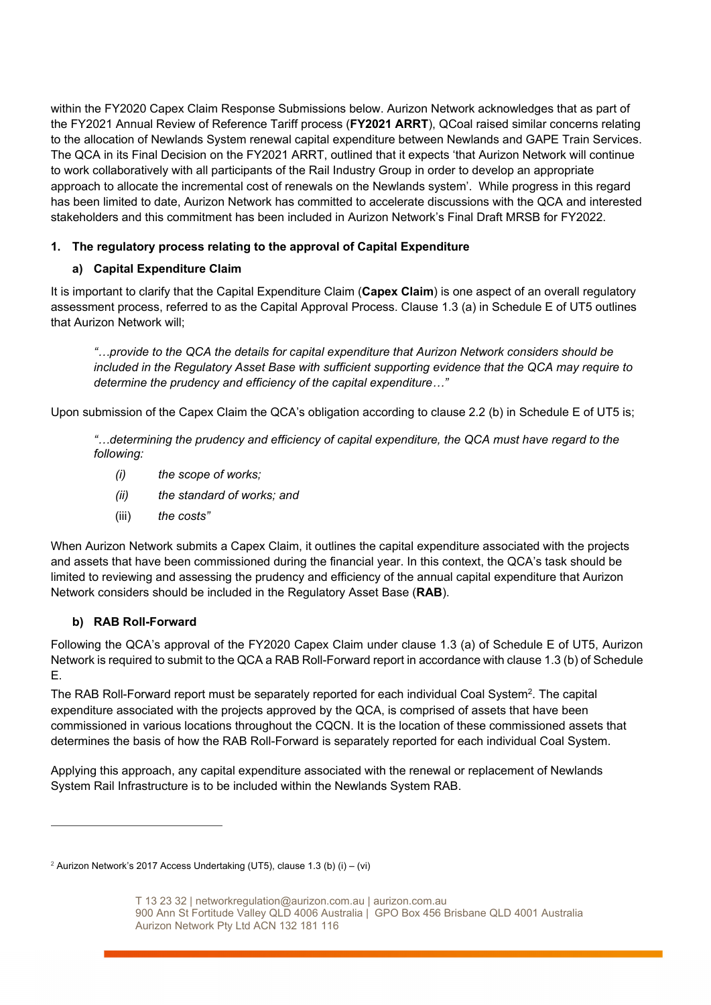within the FY2020 Capex Claim Response Submissions below. Aurizon Network acknowledges that as part of the FY2021 Annual Review of Reference Tariff process (**FY2021 ARRT**), QCoal raised similar concerns relating to the allocation of Newlands System renewal capital expenditure between Newlands and GAPE Train Services. The QCA in its Final Decision on the FY2021 ARRT, outlined that it expects 'that Aurizon Network will continue to work collaboratively with all participants of the Rail Industry Group in order to develop an appropriate approach to allocate the incremental cost of renewals on the Newlands system'. While progress in this regard has been limited to date, Aurizon Network has committed to accelerate discussions with the QCA and interested stakeholders and this commitment has been included in Aurizon Network's Final Draft MRSB for FY2022.

## **1. The regulatory process relating to the approval of Capital Expenditure**

## **a) Capital Expenditure Claim**

It is important to clarify that the Capital Expenditure Claim (**Capex Claim**) is one aspect of an overall regulatory assessment process, referred to as the Capital Approval Process. Clause 1.3 (a) in Schedule E of UT5 outlines that Aurizon Network will;

*"…provide to the QCA the details for capital expenditure that Aurizon Network considers should be included in the Regulatory Asset Base with sufficient supporting evidence that the QCA may require to determine the prudency and efficiency of the capital expenditure…"* 

Upon submission of the Capex Claim the QCA's obligation according to clause 2.2 (b) in Schedule E of UT5 is;

*"…determining the prudency and efficiency of capital expenditure, the QCA must have regard to the following:* 

- *(i) the scope of works;*
- *(ii) the standard of works; and*
- (iii) *the costs"*

When Aurizon Network submits a Capex Claim, it outlines the capital expenditure associated with the projects and assets that have been commissioned during the financial year. In this context, the QCA's task should be limited to reviewing and assessing the prudency and efficiency of the annual capital expenditure that Aurizon Network considers should be included in the Regulatory Asset Base (**RAB**).

# **b) RAB Roll-Forward**

Following the QCA's approval of the FY2020 Capex Claim under clause 1.3 (a) of Schedule E of UT5, Aurizon Network is required to submit to the QCA a RAB Roll-Forward report in accordance with clause 1.3 (b) of Schedule E.

The RAB Roll-Forward report must be separately reported for each individual Coal System<sup>2</sup>. The capital expenditure associated with the projects approved by the QCA, is comprised of assets that have been commissioned in various locations throughout the CQCN. It is the location of these commissioned assets that determines the basis of how the RAB Roll-Forward is separately reported for each individual Coal System.

Applying this approach, any capital expenditure associated with the renewal or replacement of Newlands System Rail Infrastructure is to be included within the Newlands System RAB.

 $2$  Aurizon Network's 2017 Access Undertaking (UT5), clause 1.3 (b) (i) – (vi)

T 13 23 32 | networkregulation@aurizon.com.au | aurizon.com.au 900 Ann St Fortitude Valley QLD 4006 Australia | GPO Box 456 Brisbane QLD 4001 Australia Aurizon Network Pty Ltd ACN 132 181 116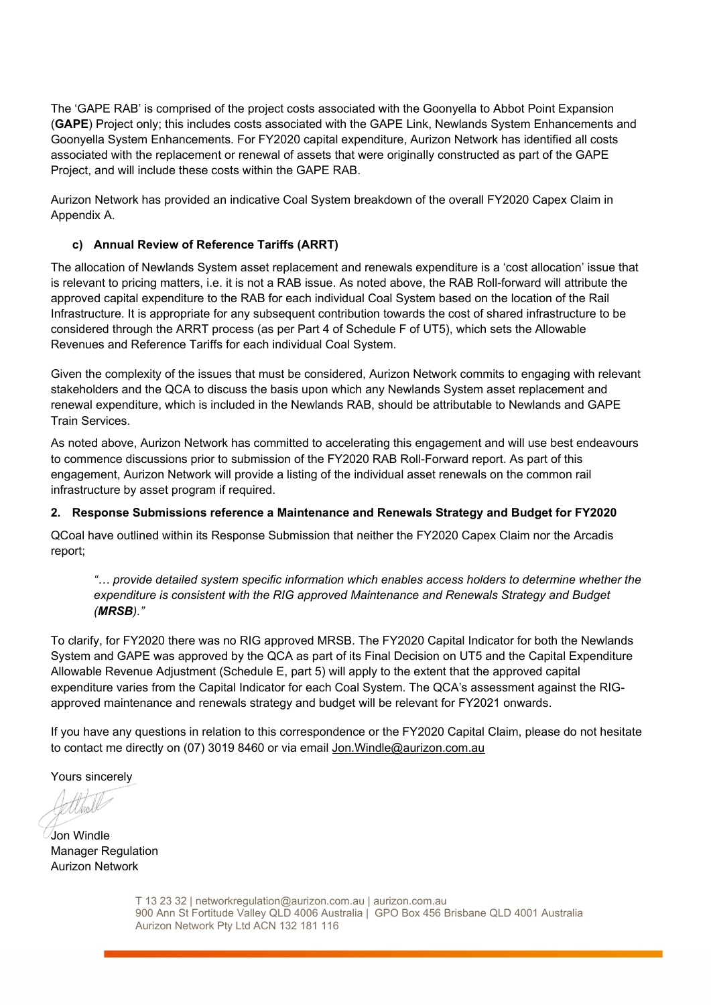The 'GAPE RAB' is comprised of the project costs associated with the Goonyella to Abbot Point Expansion (**GAPE**) Project only; this includes costs associated with the GAPE Link, Newlands System Enhancements and Goonyella System Enhancements. For FY2020 capital expenditure, Aurizon Network has identified all costs associated with the replacement or renewal of assets that were originally constructed as part of the GAPE Project, and will include these costs within the GAPE RAB.

Aurizon Network has provided an indicative Coal System breakdown of the overall FY2020 Capex Claim in Appendix A.

## **c) Annual Review of Reference Tariffs (ARRT)**

The allocation of Newlands System asset replacement and renewals expenditure is a 'cost allocation' issue that is relevant to pricing matters, i.e. it is not a RAB issue. As noted above, the RAB Roll-forward will attribute the approved capital expenditure to the RAB for each individual Coal System based on the location of the Rail Infrastructure. It is appropriate for any subsequent contribution towards the cost of shared infrastructure to be considered through the ARRT process (as per Part 4 of Schedule F of UT5), which sets the Allowable Revenues and Reference Tariffs for each individual Coal System.

Given the complexity of the issues that must be considered, Aurizon Network commits to engaging with relevant stakeholders and the QCA to discuss the basis upon which any Newlands System asset replacement and renewal expenditure, which is included in the Newlands RAB, should be attributable to Newlands and GAPE Train Services.

As noted above, Aurizon Network has committed to accelerating this engagement and will use best endeavours to commence discussions prior to submission of the FY2020 RAB Roll-Forward report. As part of this engagement, Aurizon Network will provide a listing of the individual asset renewals on the common rail infrastructure by asset program if required.

## **2. Response Submissions reference a Maintenance and Renewals Strategy and Budget for FY2020**

QCoal have outlined within its Response Submission that neither the FY2020 Capex Claim nor the Arcadis report;

*"… provide detailed system specific information which enables access holders to determine whether the expenditure is consistent with the RIG approved Maintenance and Renewals Strategy and Budget (MRSB)."* 

To clarify, for FY2020 there was no RIG approved MRSB. The FY2020 Capital Indicator for both the Newlands System and GAPE was approved by the QCA as part of its Final Decision on UT5 and the Capital Expenditure Allowable Revenue Adjustment (Schedule E, part 5) will apply to the extent that the approved capital expenditure varies from the Capital Indicator for each Coal System. The QCA's assessment against the RIGapproved maintenance and renewals strategy and budget will be relevant for FY2021 onwards.

If you have any questions in relation to this correspondence or the FY2020 Capital Claim, please do not hesitate to contact me directly on (07) 3019 8460 or via email Jon.Windle@aurizon.com.au

Yours sincerely

 $\overline{a}$ 

Jon Windle Manager Regulation Aurizon Network

T 13 23 32 | networkregulation@aurizon.com.au | aurizon.com.au 900 Ann St Fortitude Valley QLD 4006 Australia | GPO Box 456 Brisbane QLD 4001 Australia Aurizon Network Pty Ltd ACN 132 181 116